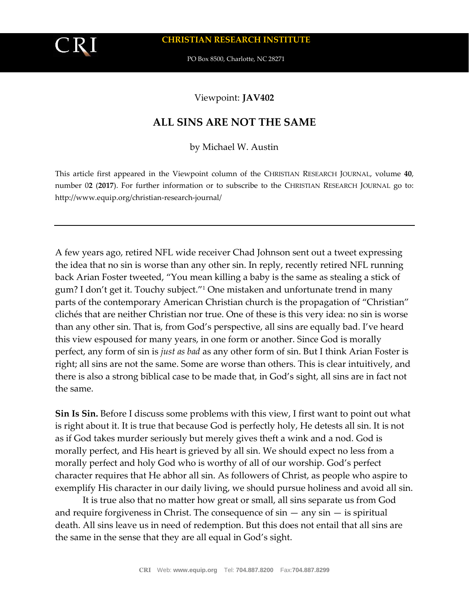

PO Box 8500, Charlotte, NC 28271

Viewpoint: **JAV402**

## **ALL SINS ARE NOT THE SAME**

by Michael W. Austin

This article first appeared in the Viewpoint column of the CHRISTIAN RESEARCH JOURNAL, volume **40**, number 0**2** (**2017**). For further information or to subscribe to the CHRISTIAN RESEARCH JOURNAL go to: http://www.equip.org/christian-research-journal/

A few years ago, retired NFL wide receiver Chad Johnson sent out a tweet expressing the idea that no sin is worse than any other sin. In reply, recently retired NFL running back Arian Foster tweeted, "You mean killing a baby is the same as stealing a stick of gum? I don't get it. Touchy subject."<sup>1</sup> One mistaken and unfortunate trend in many parts of the contemporary American Christian church is the propagation of "Christian" clichés that are neither Christian nor true. One of these is this very idea: no sin is worse than any other sin. That is, from God's perspective, all sins are equally bad. I've heard this view espoused for many years, in one form or another. Since God is morally perfect, any form of sin is *just as bad* as any other form of sin. But I think Arian Foster is right; all sins are not the same. Some are worse than others. This is clear intuitively, and there is also a strong biblical case to be made that, in God's sight, all sins are in fact not the same.

**Sin Is Sin.** Before I discuss some problems with this view, I first want to point out what is right about it. It is true that because God is perfectly holy, He detests all sin. It is not as if God takes murder seriously but merely gives theft a wink and a nod. God is morally perfect, and His heart is grieved by all sin. We should expect no less from a morally perfect and holy God who is worthy of all of our worship. God's perfect character requires that He abhor all sin. As followers of Christ, as people who aspire to exemplify His character in our daily living, we should pursue holiness and avoid all sin.

It is true also that no matter how great or small, all sins separate us from God and require forgiveness in Christ. The consequence of  $sin - any sin - is$  spiritual death. All sins leave us in need of redemption. But this does not entail that all sins are the same in the sense that they are all equal in God's sight.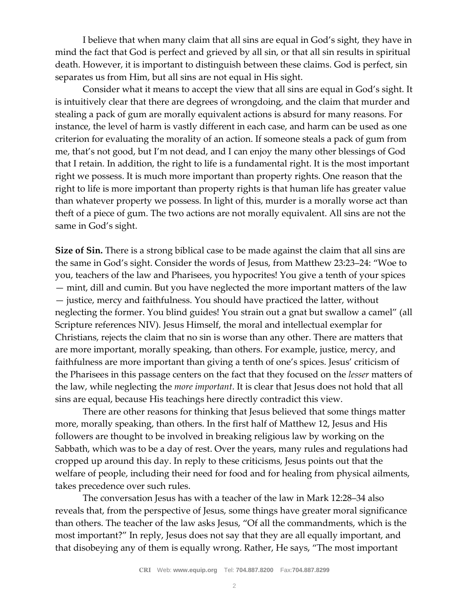I believe that when many claim that all sins are equal in God's sight, they have in mind the fact that God is perfect and grieved by all sin, or that all sin results in spiritual death. However, it is important to distinguish between these claims. God is perfect, sin separates us from Him, but all sins are not equal in His sight.

Consider what it means to accept the view that all sins are equal in God's sight. It is intuitively clear that there are degrees of wrongdoing, and the claim that murder and stealing a pack of gum are morally equivalent actions is absurd for many reasons. For instance, the level of harm is vastly different in each case, and harm can be used as one criterion for evaluating the morality of an action. If someone steals a pack of gum from me, that's not good, but I'm not dead, and I can enjoy the many other blessings of God that I retain. In addition, the right to life is a fundamental right. It is the most important right we possess. It is much more important than property rights. One reason that the right to life is more important than property rights is that human life has greater value than whatever property we possess. In light of this, murder is a morally worse act than theft of a piece of gum. The two actions are not morally equivalent. All sins are not the same in God's sight.

**Size of Sin.** There is a strong biblical case to be made against the claim that all sins are the same in God's sight. Consider the words of Jesus, from Matthew 23:23–24: "Woe to you, teachers of the law and Pharisees, you hypocrites! You give a tenth of your spices — mint, dill and cumin. But you have neglected the more important matters of the law — justice, mercy and faithfulness. You should have practiced the latter, without neglecting the former. You blind guides! You strain out a gnat but swallow a camel" (all Scripture references NIV). Jesus Himself, the moral and intellectual exemplar for Christians, rejects the claim that no sin is worse than any other. There are matters that are more important, morally speaking, than others. For example, justice, mercy, and faithfulness are more important than giving a tenth of one's spices. Jesus' criticism of the Pharisees in this passage centers on the fact that they focused on the *lesser* matters of the law, while neglecting the *more important*. It is clear that Jesus does not hold that all sins are equal, because His teachings here directly contradict this view.

There are other reasons for thinking that Jesus believed that some things matter more, morally speaking, than others. In the first half of Matthew 12, Jesus and His followers are thought to be involved in breaking religious law by working on the Sabbath, which was to be a day of rest. Over the years, many rules and regulations had cropped up around this day. In reply to these criticisms, Jesus points out that the welfare of people, including their need for food and for healing from physical ailments, takes precedence over such rules.

The conversation Jesus has with a teacher of the law in Mark 12:28–34 also reveals that, from the perspective of Jesus, some things have greater moral significance than others. The teacher of the law asks Jesus, "Of all the commandments, which is the most important?" In reply, Jesus does not say that they are all equally important, and that disobeying any of them is equally wrong. Rather, He says, "The most important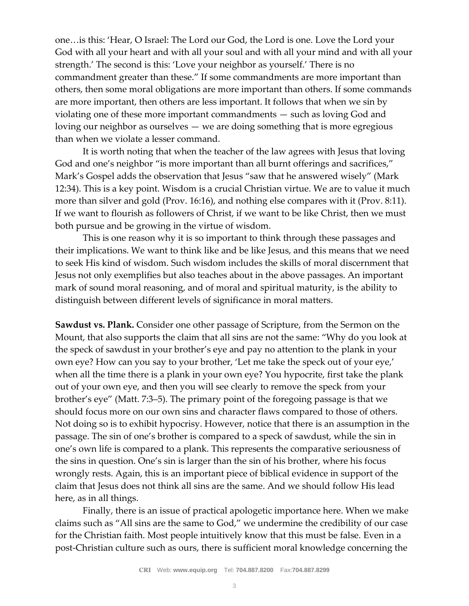one…is this: 'Hear, O Israel: The Lord our God, the Lord is one. Love the Lord your God with all your heart and with all your soul and with all your mind and with all your strength.' The second is this: 'Love your neighbor as yourself.' There is no commandment greater than these." If some commandments are more important than others, then some moral obligations are more important than others. If some commands are more important, then others are less important. It follows that when we sin by violating one of these more important commandments — such as loving God and loving our neighbor as ourselves — we are doing something that is more egregious than when we violate a lesser command.

It is worth noting that when the teacher of the law agrees with Jesus that loving God and one's neighbor "is more important than all burnt offerings and sacrifices," Mark's Gospel adds the observation that Jesus "saw that he answered wisely" (Mark 12:34). This is a key point. Wisdom is a crucial Christian virtue. We are to value it much more than silver and gold (Prov. 16:16), and nothing else compares with it (Prov. 8:11). If we want to flourish as followers of Christ, if we want to be like Christ, then we must both pursue and be growing in the virtue of wisdom.

This is one reason why it is so important to think through these passages and their implications. We want to think like and be like Jesus, and this means that we need to seek His kind of wisdom. Such wisdom includes the skills of moral discernment that Jesus not only exemplifies but also teaches about in the above passages. An important mark of sound moral reasoning, and of moral and spiritual maturity, is the ability to distinguish between different levels of significance in moral matters.

**Sawdust vs. Plank.** Consider one other passage of Scripture, from the Sermon on the Mount, that also supports the claim that all sins are not the same: "Why do you look at the speck of sawdust in your brother's eye and pay no attention to the plank in your own eye? How can you say to your brother, 'Let me take the speck out of your eye,' when all the time there is a plank in your own eye? You hypocrite, first take the plank out of your own eye, and then you will see clearly to remove the speck from your brother's eye" (Matt. 7:3–5). The primary point of the foregoing passage is that we should focus more on our own sins and character flaws compared to those of others. Not doing so is to exhibit hypocrisy. However, notice that there is an assumption in the passage. The sin of one's brother is compared to a speck of sawdust, while the sin in one's own life is compared to a plank. This represents the comparative seriousness of the sins in question. One's sin is larger than the sin of his brother, where his focus wrongly rests. Again, this is an important piece of biblical evidence in support of the claim that Jesus does not think all sins are the same. And we should follow His lead here, as in all things.

Finally, there is an issue of practical apologetic importance here. When we make claims such as "All sins are the same to God," we undermine the credibility of our case for the Christian faith. Most people intuitively know that this must be false. Even in a post-Christian culture such as ours, there is sufficient moral knowledge concerning the